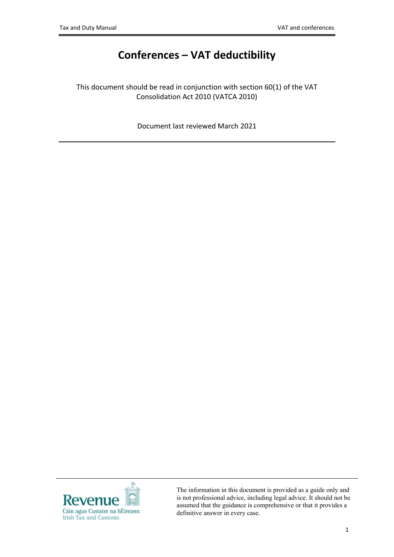# **Conferences – VAT deductibility**

This document should be read in conjunction with section 60(1) of the VAT Consolidation Act 2010 (VATCA 2010)

Document last reviewed March 2021



The information in this document is provided as a guide only and is not professional advice, including legal advice. It should not be assumed that the guidance is comprehensive or that it provides a definitive answer in every case.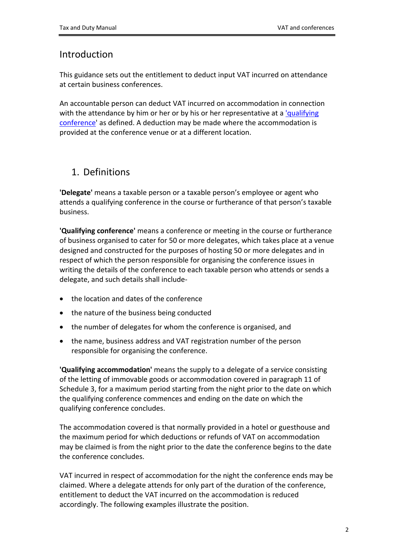### Introduction

This guidance sets out the entitlement to deduct input VAT incurred on attendance at certain business conferences.

An accountable person can deduct VAT incurred on accommodation in connection with the attendance by him or her or by his or her representative at a ['qualifying](#page-1-0) [conference](#page-1-0)' as defined. A deduction may be made where the accommodation is provided at the conference venue or at a different location.

# 1. Definitions

**'Delegate'** means a taxable person or a taxable person's employee or agent who attends a qualifying conference in the course or furtherance of that person's taxable business.

<span id="page-1-0"></span>**'Qualifying conference'** means a conference or meeting in the course or furtherance of business organised to cater for 50 or more delegates, which takes place at a venue designed and constructed for the purposes of hosting 50 or more delegates and in respect of which the person responsible for organising the conference issues in writing the details of the conference to each taxable person who attends or sends a delegate, and such details shall include-

- <span id="page-1-1"></span>• the location and dates of the conference
- the nature of the business being conducted
- the number of delegates for whom the conference is organised, and
- the name, business address and VAT registration number of the person responsible for organising the conference.

**'Qualifying accommodation'** means the supply to a delegate of a service consisting of the letting of immovable goods or accommodation covered in paragraph 11 of Schedule 3, for a maximum period starting from the night prior to the date on which the qualifying conference commences and ending on the date on which the qualifying conference concludes.

The accommodation covered is that normally provided in a hotel or guesthouse and the maximum period for which deductions or refunds of VAT on accommodation may be claimed is from the night prior to the date the conference begins to the date the conference concludes.

VAT incurred in respect of accommodation for the night the conference ends may be claimed. Where a delegate attends for only part of the duration of the conference, entitlement to deduct the VAT incurred on the accommodation is reduced accordingly. The following examples illustrate the position.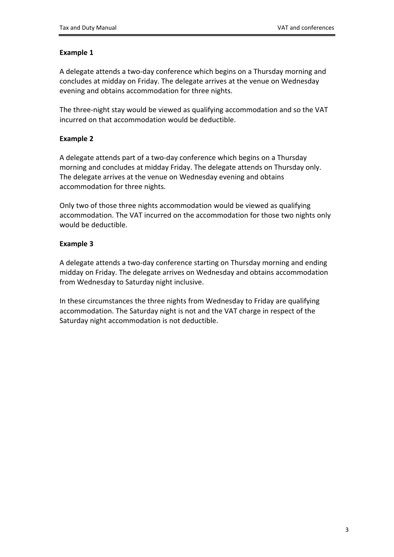#### **Example 1**

A delegate attends a two-day conference which begins on a Thursday morning and concludes at midday on Friday. The delegate arrives at the venue on Wednesday evening and obtains accommodation for three nights.

The three-night stay would be viewed as qualifying accommodation and so the VAT incurred on that accommodation would be deductible.

#### **Example 2**

A delegate attends part of a two-day conference which begins on a Thursday morning and concludes at midday Friday. The delegate attends on Thursday only. The delegate arrives at the venue on Wednesday evening and obtains accommodation for three nights.

Only two of those three nights accommodation would be viewed as qualifying accommodation. The VAT incurred on the accommodation for those two nights only would be deductible.

#### **Example 3**

A delegate attends a two-day conference starting on Thursday morning and ending midday on Friday. The delegate arrives on Wednesday and obtains accommodation from Wednesday to Saturday night inclusive.

In these circumstances the three nights from Wednesday to Friday are qualifying accommodation. The Saturday night is not and the VAT charge in respect of the Saturday night accommodation is not deductible.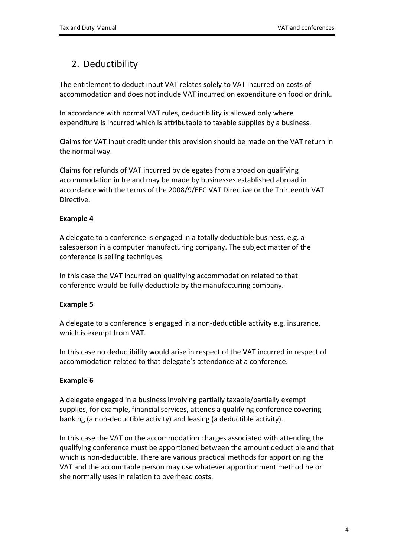# 2. Deductibility

The entitlement to deduct input VAT relates solely to VAT incurred on costs of accommodation and does not include VAT incurred on expenditure on food or drink.

In accordance with normal VAT rules, deductibility is allowed only where expenditure is incurred which is attributable to taxable supplies by a business.

Claims for VAT input credit under this provision should be made on the VAT return in the normal way.

Claims for refunds of VAT incurred by delegates from abroad on qualifying accommodation in Ireland may be made by businesses established abroad in accordance with the terms of the 2008/9/EEC VAT Directive or the Thirteenth VAT Directive.

#### **Example 4**

A delegate to a conference is engaged in a totally deductible business, e.g. a salesperson in a computer manufacturing company. The subject matter of the conference is selling techniques.

In this case the VAT incurred on qualifying accommodation related to that conference would be fully deductible by the manufacturing company.

#### **Example 5**

A delegate to a conference is engaged in a non-deductible activity e.g. insurance, which is exempt from VAT.

In this case no deductibility would arise in respect of the VAT incurred in respect of accommodation related to that delegate's attendance at a conference.

#### **Example 6**

A delegate engaged in a business involving partially taxable/partially exempt supplies, for example, financial services, attends a qualifying conference covering banking (a non-deductible activity) and leasing (a deductible activity).

In this case the VAT on the accommodation charges associated with attending the qualifying conference must be apportioned between the amount deductible and that which is non-deductible. There are various practical methods for apportioning the VAT and the accountable person may use whatever apportionment method he or she normally uses in relation to overhead costs.